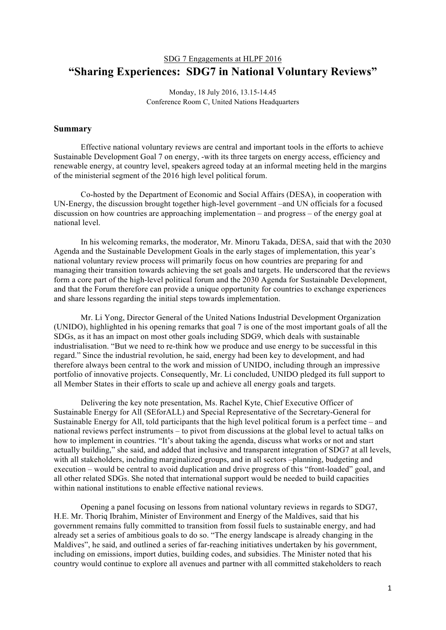## SDG 7 Engagements at HLPF 2016 **"Sharing Experiences: SDG7 in National Voluntary Reviews"**

Monday, 18 July 2016, 13.15-14.45 Conference Room C, United Nations Headquarters

## **Summary**

Effective national voluntary reviews are central and important tools in the efforts to achieve Sustainable Development Goal 7 on energy, -with its three targets on energy access, efficiency and renewable energy, at country level, speakers agreed today at an informal meeting held in the margins of the ministerial segment of the 2016 high level political forum.

Co-hosted by the Department of Economic and Social Affairs (DESA), in cooperation with UN-Energy, the discussion brought together high-level government –and UN officials for a focused discussion on how countries are approaching implementation – and progress – of the energy goal at national level.

In his welcoming remarks, the moderator, Mr. Minoru Takada, DESA, said that with the 2030 Agenda and the Sustainable Development Goals in the early stages of implementation, this year's national voluntary review process will primarily focus on how countries are preparing for and managing their transition towards achieving the set goals and targets. He underscored that the reviews form a core part of the high-level political forum and the 2030 Agenda for Sustainable Development, and that the Forum therefore can provide a unique opportunity for countries to exchange experiences and share lessons regarding the initial steps towards implementation.

Mr. Li Yong, Director General of the United Nations Industrial Development Organization (UNIDO), highlighted in his opening remarks that goal 7 is one of the most important goals of all the SDGs, as it has an impact on most other goals including SDG9, which deals with sustainable industrialisation. "But we need to re-think how we produce and use energy to be successful in this regard." Since the industrial revolution, he said, energy had been key to development, and had therefore always been central to the work and mission of UNIDO, including through an impressive portfolio of innovative projects. Consequently, Mr. Li concluded, UNIDO pledged its full support to all Member States in their efforts to scale up and achieve all energy goals and targets.

Delivering the key note presentation, Ms. Rachel Kyte, Chief Executive Officer of Sustainable Energy for All (SEforALL) and Special Representative of the Secretary-General for Sustainable Energy for All, told participants that the high level political forum is a perfect time – and national reviews perfect instruments – to pivot from discussions at the global level to actual talks on how to implement in countries. "It's about taking the agenda, discuss what works or not and start actually building," she said, and added that inclusive and transparent integration of SDG7 at all levels, with all stakeholders, including marginalized groups, and in all sectors –planning, budgeting and execution – would be central to avoid duplication and drive progress of this "front-loaded" goal, and all other related SDGs. She noted that international support would be needed to build capacities within national institutions to enable effective national reviews.

Opening a panel focusing on lessons from national voluntary reviews in regards to SDG7, H.E. Mr. Thoriq Ibrahim, Minister of Environment and Energy of the Maldives, said that his government remains fully committed to transition from fossil fuels to sustainable energy, and had already set a series of ambitious goals to do so. "The energy landscape is already changing in the Maldives", he said, and outlined a series of far-reaching initiatives undertaken by his government, including on emissions, import duties, building codes, and subsidies. The Minister noted that his country would continue to explore all avenues and partner with all committed stakeholders to reach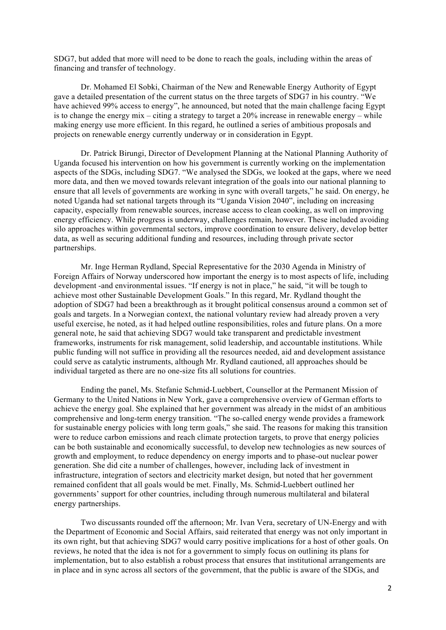SDG7, but added that more will need to be done to reach the goals, including within the areas of financing and transfer of technology.

Dr. Mohamed El Sobki, Chairman of the New and Renewable Energy Authority of Egypt gave a detailed presentation of the current status on the three targets of SDG7 in his country. "We have achieved 99% access to energy", he announced, but noted that the main challenge facing Egypt is to change the energy  $mix - citing$  a strategy to target a 20% increase in renewable energy – while making energy use more efficient. In this regard, he outlined a series of ambitious proposals and projects on renewable energy currently underway or in consideration in Egypt.

Dr. Patrick Birungi, Director of Development Planning at the National Planning Authority of Uganda focused his intervention on how his government is currently working on the implementation aspects of the SDGs, including SDG7. "We analysed the SDGs, we looked at the gaps, where we need more data, and then we moved towards relevant integration of the goals into our national planning to ensure that all levels of governments are working in sync with overall targets," he said. On energy, he noted Uganda had set national targets through its "Uganda Vision 2040", including on increasing capacity, especially from renewable sources, increase access to clean cooking, as well on improving energy efficiency. While progress is underway, challenges remain, however. These included avoiding silo approaches within governmental sectors, improve coordination to ensure delivery, develop better data, as well as securing additional funding and resources, including through private sector partnerships.

Mr. Inge Herman Rydland, Special Representative for the 2030 Agenda in Ministry of Foreign Affairs of Norway underscored how important the energy is to most aspects of life, including development -and environmental issues. "If energy is not in place," he said, "it will be tough to achieve most other Sustainable Development Goals." In this regard, Mr. Rydland thought the adoption of SDG7 had been a breakthrough as it brought political consensus around a common set of goals and targets. In a Norwegian context, the national voluntary review had already proven a very useful exercise, he noted, as it had helped outline responsibilities, roles and future plans. On a more general note, he said that achieving SDG7 would take transparent and predictable investment frameworks, instruments for risk management, solid leadership, and accountable institutions. While public funding will not suffice in providing all the resources needed, aid and development assistance could serve as catalytic instruments, although Mr. Rydland cautioned, all approaches should be individual targeted as there are no one-size fits all solutions for countries.

Ending the panel, Ms. Stefanie Schmid-Luebbert, Counsellor at the Permanent Mission of Germany to the United Nations in New York, gave a comprehensive overview of German efforts to achieve the energy goal. She explained that her government was already in the midst of an ambitious comprehensive and long-term energy transition. "The so-called energy wende provides a framework for sustainable energy policies with long term goals," she said. The reasons for making this transition were to reduce carbon emissions and reach climate protection targets, to prove that energy policies can be both sustainable and economically successful, to develop new technologies as new sources of growth and employment, to reduce dependency on energy imports and to phase-out nuclear power generation. She did cite a number of challenges, however, including lack of investment in infrastructure, integration of sectors and electricity market design, but noted that her government remained confident that all goals would be met. Finally, Ms. Schmid-Luebbert outlined her governments' support for other countries, including through numerous multilateral and bilateral energy partnerships.

Two discussants rounded off the afternoon; Mr. Ivan Vera, secretary of UN-Energy and with the Department of Economic and Social Affairs, said reiterated that energy was not only important in its own right, but that achieving SDG7 would carry positive implications for a host of other goals. On reviews, he noted that the idea is not for a government to simply focus on outlining its plans for implementation, but to also establish a robust process that ensures that institutional arrangements are in place and in sync across all sectors of the government, that the public is aware of the SDGs, and